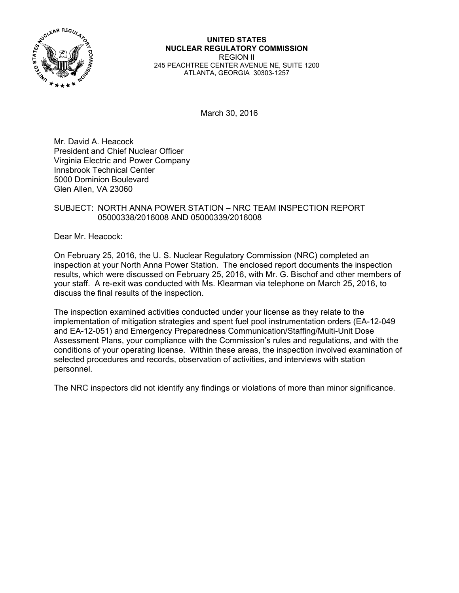

**UNITED STATES NUCLEAR REGULATORY COMMISSION**  REGION II 245 PEACHTREE CENTER AVENUE NE, SUITE 1200 ATLANTA, GEORGIA 30303-1257

March 30, 2016

Mr. David A. Heacock President and Chief Nuclear Officer Virginia Electric and Power Company Innsbrook Technical Center 5000 Dominion Boulevard Glen Allen, VA 23060

# SUBJECT: NORTH ANNA POWER STATION – NRC TEAM INSPECTION REPORT 05000338/2016008 AND 05000339/2016008

Dear Mr. Heacock:

On February 25, 2016, the U. S. Nuclear Regulatory Commission (NRC) completed an inspection at your North Anna Power Station. The enclosed report documents the inspection results, which were discussed on February 25, 2016, with Mr. G. Bischof and other members of your staff. A re-exit was conducted with Ms. Klearman via telephone on March 25, 2016, to discuss the final results of the inspection.

The inspection examined activities conducted under your license as they relate to the implementation of mitigation strategies and spent fuel pool instrumentation orders (EA-12-049 and EA-12-051) and Emergency Preparedness Communication/Staffing/Multi-Unit Dose Assessment Plans, your compliance with the Commission's rules and regulations, and with the conditions of your operating license. Within these areas, the inspection involved examination of selected procedures and records, observation of activities, and interviews with station personnel.

The NRC inspectors did not identify any findings or violations of more than minor significance.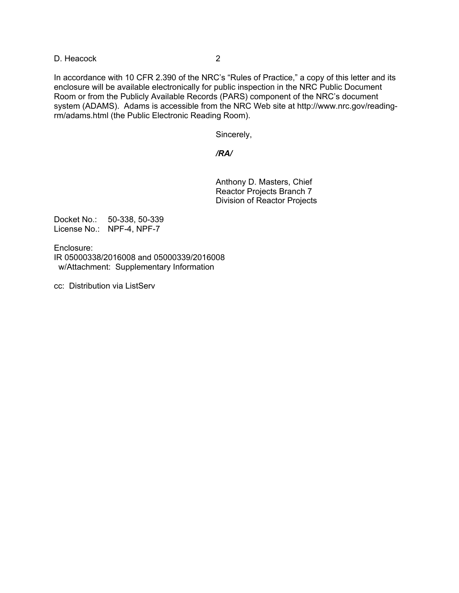D. Heacock 2

In accordance with 10 CFR 2.390 of the NRC's "Rules of Practice," a copy of this letter and its enclosure will be available electronically for public inspection in the NRC Public Document Room or from the Publicly Available Records (PARS) component of the NRC's document system (ADAMS). Adams is accessible from the NRC Web site at http://www.nrc.gov/readingrm/adams.html (the Public Electronic Reading Room).

Sincerely,

### */RA/*

 Anthony D. Masters, Chief Reactor Projects Branch 7 Division of Reactor Projects

Docket No.: 50-338, 50-339 License No.: NPF-4, NPF-7

Enclosure: IR 05000338/2016008 and 05000339/2016008 w/Attachment: Supplementary Information

cc: Distribution via ListServ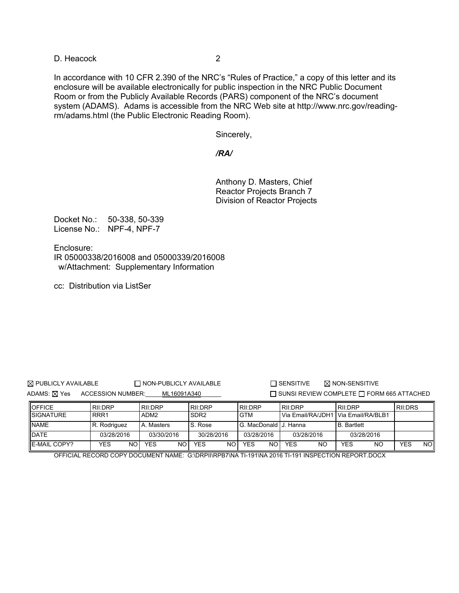D. Heacock 2

In accordance with 10 CFR 2.390 of the NRC's "Rules of Practice," a copy of this letter and its enclosure will be available electronically for public inspection in the NRC Public Document Room or from the Publicly Available Records (PARS) component of the NRC's document system (ADAMS). Adams is accessible from the NRC Web site at http://www.nrc.gov/readingrm/adams.html (the Public Electronic Reading Room).

Sincerely,

*/RA/* 

 Anthony D. Masters, Chief Reactor Projects Branch 7 Division of Reactor Projects

Docket No.: 50-338, 50-339 License No.: NPF-4, NPF-7

Enclosure: IR 05000338/2016008 and 05000339/2016008 w/Attachment: Supplementary Information

cc: Distribution via ListSer

 $\boxtimes$  PUBLICLY AVAILABLE  $\Box$  NON-PUBLICLY AVAILABLE  $\Box$  SENSITIVE  $\boxtimes$  NON-SENSITIVE

ADAMS: ⊠ Yes ACCESSION NUMBER: ML16091A340 SUNSI REVIEW COMPLETE E FORM 665 ATTACHED

| <b>OFFICE</b>        | RII:DRP      | RII:DRP          | RII:DRP          | RII:DRP               | RII:DRP                             | RII:DRP            | RII:DRS    |
|----------------------|--------------|------------------|------------------|-----------------------|-------------------------------------|--------------------|------------|
| <b>SIGNATURE</b>     | RRR1         | ADM <sub>2</sub> | SDR <sub>2</sub> | <b>GTM</b>            | Via Email/RA/JDH1 Via Email/RA/BLB1 |                    |            |
| <b>INAME</b>         | R. Rodriguez | A. Masters       | S. Rose          | G. MacDonald J. Hanna |                                     | <b>B.</b> Bartlett |            |
| DATE                 | 03/28/2016   | 03/30/2016       | 30/28/2016       | 03/28/2016            | 03/28/2016                          | 03/28/2016         |            |
| <b>IE-MAIL COPY?</b> | NOI<br>YES   | <b>YES</b><br>NO | YES<br>NO I      | YES<br>NO I           | NO<br><b>YES</b>                    | YES<br>NO          | YES<br>NOI |

OFFICIAL RECORD COPY DOCUMENT NAME: G:\DRPII\RPB7\NA TI-191\NA 2016 TI-191 INSPECTION REPORT.DOCX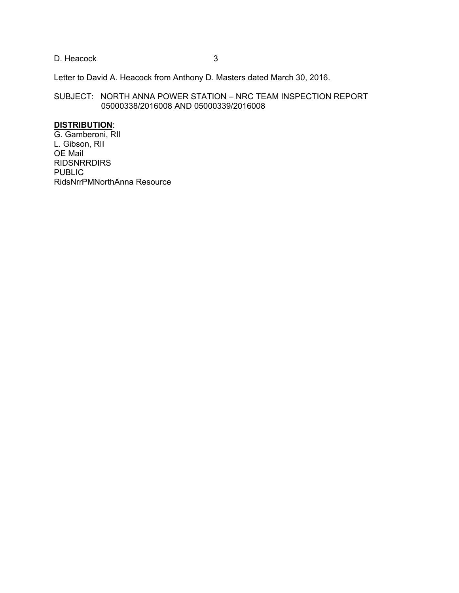D. Heacock 3

Letter to David A. Heacock from Anthony D. Masters dated March 30, 2016.

SUBJECT: NORTH ANNA POWER STATION – NRC TEAM INSPECTION REPORT 05000338/2016008 AND 05000339/2016008

# **DISTRIBUTION**:

G. Gamberoni, RII L. Gibson, RII OE Mail RIDSNRRDIRS PUBLIC RidsNrrPMNorthAnna Resource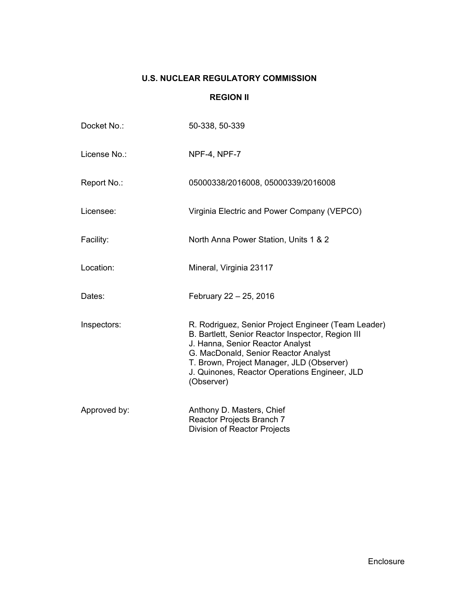# **U.S. NUCLEAR REGULATORY COMMISSION**

### **REGION II**

| Docket No.:  | 50-338, 50-339                                                                                                                                                                                                                                                                                   |
|--------------|--------------------------------------------------------------------------------------------------------------------------------------------------------------------------------------------------------------------------------------------------------------------------------------------------|
| License No.: | NPF-4, NPF-7                                                                                                                                                                                                                                                                                     |
| Report No.:  | 05000338/2016008, 05000339/2016008                                                                                                                                                                                                                                                               |
| Licensee:    | Virginia Electric and Power Company (VEPCO)                                                                                                                                                                                                                                                      |
| Facility:    | North Anna Power Station, Units 1 & 2                                                                                                                                                                                                                                                            |
| Location:    | Mineral, Virginia 23117                                                                                                                                                                                                                                                                          |
| Dates:       | February 22 - 25, 2016                                                                                                                                                                                                                                                                           |
| Inspectors:  | R. Rodriguez, Senior Project Engineer (Team Leader)<br>B. Bartlett, Senior Reactor Inspector, Region III<br>J. Hanna, Senior Reactor Analyst<br>G. MacDonald, Senior Reactor Analyst<br>T. Brown, Project Manager, JLD (Observer)<br>J. Quinones, Reactor Operations Engineer, JLD<br>(Observer) |
| Approved by: | Anthony D. Masters, Chief<br>Reactor Projects Branch 7<br>Division of Reactor Projects                                                                                                                                                                                                           |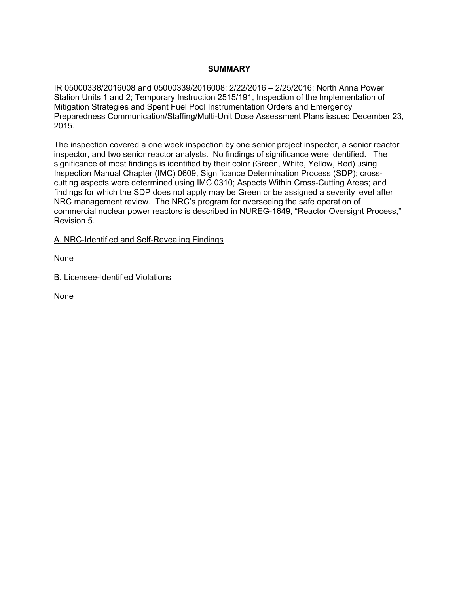# **SUMMARY**

IR 05000338/2016008 and 05000339/2016008; 2/22/2016 – 2/25/2016; North Anna Power Station Units 1 and 2; Temporary Instruction 2515/191, Inspection of the Implementation of Mitigation Strategies and Spent Fuel Pool Instrumentation Orders and Emergency Preparedness Communication/Staffing/Multi-Unit Dose Assessment Plans issued December 23, 2015.

The inspection covered a one week inspection by one senior project inspector, a senior reactor inspector, and two senior reactor analysts. No findings of significance were identified. The significance of most findings is identified by their color (Green, White, Yellow, Red) using Inspection Manual Chapter (IMC) 0609, Significance Determination Process (SDP); crosscutting aspects were determined using IMC 0310; Aspects Within Cross-Cutting Areas; and findings for which the SDP does not apply may be Green or be assigned a severity level after NRC management review. The NRC's program for overseeing the safe operation of commercial nuclear power reactors is described in NUREG-1649, "Reactor Oversight Process," Revision 5.

A. NRC-Identified and Self-Revealing Findings

None

B. Licensee-Identified Violations

None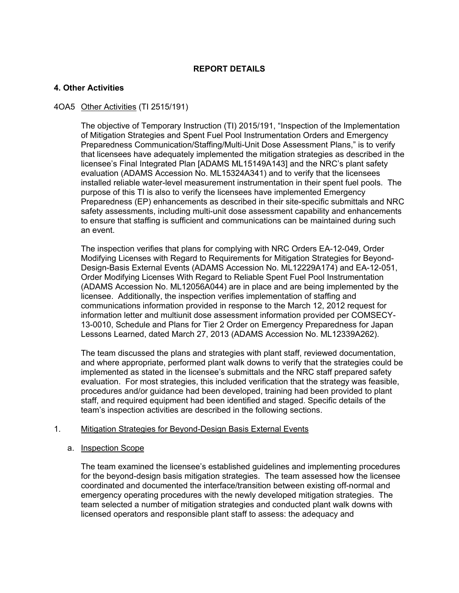# **REPORT DETAILS**

## **4. Other Activities**

### 4OA5 Other Activities (TI 2515/191)

The objective of Temporary Instruction (TI) 2015/191, "Inspection of the Implementation of Mitigation Strategies and Spent Fuel Pool Instrumentation Orders and Emergency Preparedness Communication/Staffing/Multi-Unit Dose Assessment Plans," is to verify that licensees have adequately implemented the mitigation strategies as described in the licensee's Final Integrated Plan [ADAMS ML15149A143] and the NRC's plant safety evaluation (ADAMS Accession No. ML15324A341) and to verify that the licensees installed reliable water-level measurement instrumentation in their spent fuel pools. The purpose of this TI is also to verify the licensees have implemented Emergency Preparedness (EP) enhancements as described in their site-specific submittals and NRC safety assessments, including multi-unit dose assessment capability and enhancements to ensure that staffing is sufficient and communications can be maintained during such an event.

The inspection verifies that plans for complying with NRC Orders EA-12-049, Order Modifying Licenses with Regard to Requirements for Mitigation Strategies for Beyond-Design-Basis External Events (ADAMS Accession No. ML12229A174) and EA-12-051, Order Modifying Licenses With Regard to Reliable Spent Fuel Pool Instrumentation (ADAMS Accession No. ML12056A044) are in place and are being implemented by the licensee. Additionally, the inspection verifies implementation of staffing and communications information provided in response to the March 12, 2012 request for information letter and multiunit dose assessment information provided per COMSECY-13-0010, Schedule and Plans for Tier 2 Order on Emergency Preparedness for Japan Lessons Learned, dated March 27, 2013 (ADAMS Accession No. ML12339A262).

The team discussed the plans and strategies with plant staff, reviewed documentation, and where appropriate, performed plant walk downs to verify that the strategies could be implemented as stated in the licensee's submittals and the NRC staff prepared safety evaluation. For most strategies, this included verification that the strategy was feasible, procedures and/or guidance had been developed, training had been provided to plant staff, and required equipment had been identified and staged. Specific details of the team's inspection activities are described in the following sections.

### 1. Mitigation Strategies for Beyond-Design Basis External Events

#### a. Inspection Scope

The team examined the licensee's established guidelines and implementing procedures for the beyond-design basis mitigation strategies. The team assessed how the licensee coordinated and documented the interface/transition between existing off-normal and emergency operating procedures with the newly developed mitigation strategies. The team selected a number of mitigation strategies and conducted plant walk downs with licensed operators and responsible plant staff to assess: the adequacy and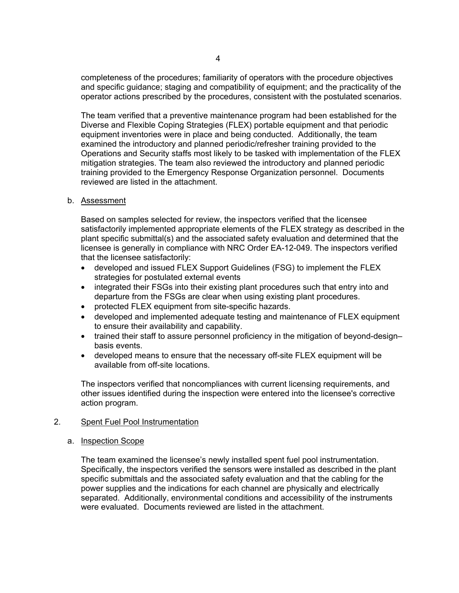completeness of the procedures; familiarity of operators with the procedure objectives and specific guidance; staging and compatibility of equipment; and the practicality of the operator actions prescribed by the procedures, consistent with the postulated scenarios.

The team verified that a preventive maintenance program had been established for the Diverse and Flexible Coping Strategies (FLEX) portable equipment and that periodic equipment inventories were in place and being conducted. Additionally, the team examined the introductory and planned periodic/refresher training provided to the Operations and Security staffs most likely to be tasked with implementation of the FLEX mitigation strategies. The team also reviewed the introductory and planned periodic training provided to the Emergency Response Organization personnel. Documents reviewed are listed in the attachment.

### b. Assessment

Based on samples selected for review, the inspectors verified that the licensee satisfactorily implemented appropriate elements of the FLEX strategy as described in the plant specific submittal(s) and the associated safety evaluation and determined that the licensee is generally in compliance with NRC Order EA-12-049. The inspectors verified that the licensee satisfactorily:

- developed and issued FLEX Support Guidelines (FSG) to implement the FLEX strategies for postulated external events
- integrated their FSGs into their existing plant procedures such that entry into and departure from the FSGs are clear when using existing plant procedures.
- protected FLEX equipment from site-specific hazards.
- developed and implemented adequate testing and maintenance of FLEX equipment to ensure their availability and capability.
- trained their staff to assure personnel proficiency in the mitigation of beyond-design– basis events.
- developed means to ensure that the necessary off-site FLEX equipment will be available from off-site locations.

The inspectors verified that noncompliances with current licensing requirements, and other issues identified during the inspection were entered into the licensee's corrective action program.

#### 2. Spent Fuel Pool Instrumentation

#### a. Inspection Scope

The team examined the licensee's newly installed spent fuel pool instrumentation. Specifically, the inspectors verified the sensors were installed as described in the plant specific submittals and the associated safety evaluation and that the cabling for the power supplies and the indications for each channel are physically and electrically separated. Additionally, environmental conditions and accessibility of the instruments were evaluated. Documents reviewed are listed in the attachment.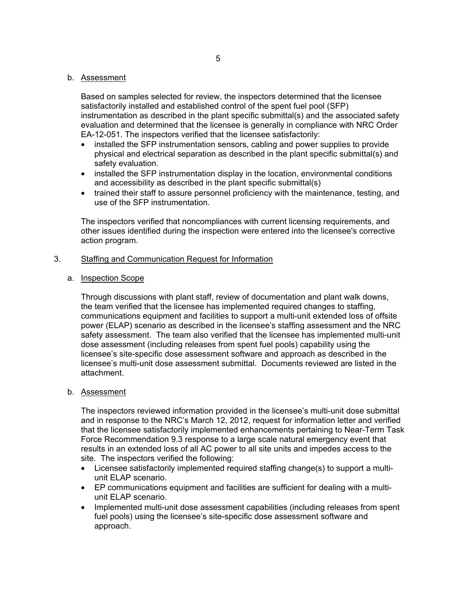#### b. Assessment

Based on samples selected for review, the inspectors determined that the licensee satisfactorily installed and established control of the spent fuel pool (SFP) instrumentation as described in the plant specific submittal(s) and the associated safety evaluation and determined that the licensee is generally in compliance with NRC Order EA-12-051. The inspectors verified that the licensee satisfactorily:

- installed the SFP instrumentation sensors, cabling and power supplies to provide physical and electrical separation as described in the plant specific submittal(s) and safety evaluation.
- installed the SFP instrumentation display in the location, environmental conditions and accessibility as described in the plant specific submittal(s)
- trained their staff to assure personnel proficiency with the maintenance, testing, and use of the SFP instrumentation.

The inspectors verified that noncompliances with current licensing requirements, and other issues identified during the inspection were entered into the licensee's corrective action program.

#### 3. Staffing and Communication Request for Information

#### a. Inspection Scope

Through discussions with plant staff, review of documentation and plant walk downs, the team verified that the licensee has implemented required changes to staffing, communications equipment and facilities to support a multi-unit extended loss of offsite power (ELAP) scenario as described in the licensee's staffing assessment and the NRC safety assessment. The team also verified that the licensee has implemented multi-unit dose assessment (including releases from spent fuel pools) capability using the licensee's site-specific dose assessment software and approach as described in the licensee's multi-unit dose assessment submittal. Documents reviewed are listed in the attachment.

### b. Assessment

The inspectors reviewed information provided in the licensee's multi-unit dose submittal and in response to the NRC's March 12, 2012, request for information letter and verified that the licensee satisfactorily implemented enhancements pertaining to Near-Term Task Force Recommendation 9.3 response to a large scale natural emergency event that results in an extended loss of all AC power to all site units and impedes access to the site. The inspectors verified the following:

- Licensee satisfactorily implemented required staffing change(s) to support a multiunit ELAP scenario.
- EP communications equipment and facilities are sufficient for dealing with a multiunit ELAP scenario.
- Implemented multi-unit dose assessment capabilities (including releases from spent fuel pools) using the licensee's site-specific dose assessment software and approach.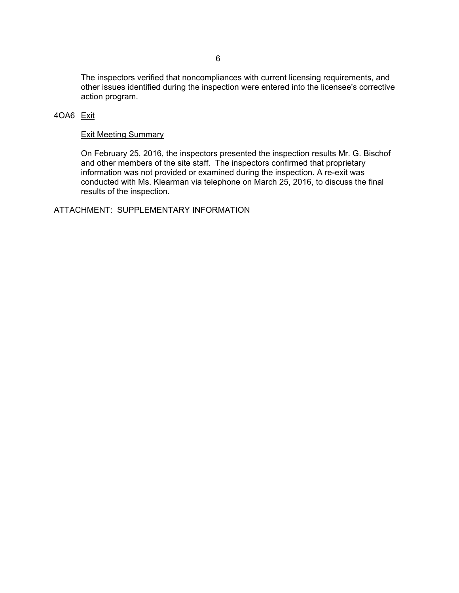The inspectors verified that noncompliances with current licensing requirements, and other issues identified during the inspection were entered into the licensee's corrective action program.

# 4OA6 Exit

### Exit Meeting Summary

On February 25, 2016, the inspectors presented the inspection results Mr. G. Bischof and other members of the site staff. The inspectors confirmed that proprietary information was not provided or examined during the inspection. A re-exit was conducted with Ms. Klearman via telephone on March 25, 2016, to discuss the final results of the inspection.

ATTACHMENT: SUPPLEMENTARY INFORMATION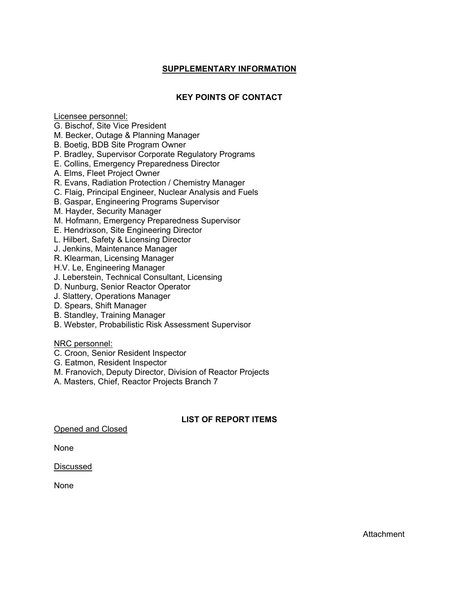# **SUPPLEMENTARY INFORMATION**

# **KEY POINTS OF CONTACT**

Licensee personnel:

- G. Bischof, Site Vice President
- M. Becker, Outage & Planning Manager
- B. Boetig, BDB Site Program Owner
- P. Bradley, Supervisor Corporate Regulatory Programs
- E. Collins, Emergency Preparedness Director
- A. Elms, Fleet Project Owner
- R. Evans, Radiation Protection / Chemistry Manager
- C. Flaig, Principal Engineer, Nuclear Analysis and Fuels
- B. Gaspar, Engineering Programs Supervisor
- M. Hayder, Security Manager
- M. Hofmann, Emergency Preparedness Supervisor
- E. Hendrixson, Site Engineering Director
- L. Hilbert, Safety & Licensing Director
- J. Jenkins, Maintenance Manager
- R. Klearman, Licensing Manager
- H.V. Le, Engineering Manager
- J. Leberstein, Technical Consultant, Licensing
- D. Nunburg, Senior Reactor Operator
- J. Slattery, Operations Manager
- D. Spears, Shift Manager
- B. Standley, Training Manager
- B. Webster, Probabilistic Risk Assessment Supervisor

### NRC personnel:

- C. Croon, Senior Resident Inspector
- G. Eatmon, Resident Inspector
- M. Franovich, Deputy Director, Division of Reactor Projects
- A. Masters, Chief, Reactor Projects Branch 7

# **LIST OF REPORT ITEMS**

Opened and Closed

None

### Discussed

None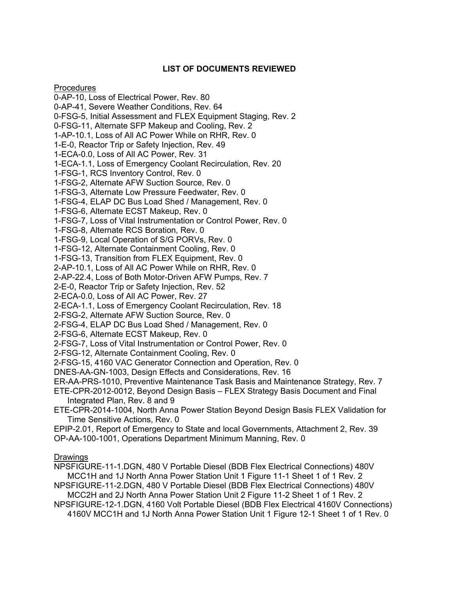# **LIST OF DOCUMENTS REVIEWED**

**Procedures** 

0-AP-10, Loss of Electrical Power, Rev. 80 0-AP-41, Severe Weather Conditions, Rev. 64 0-FSG-5, Initial Assessment and FLEX Equipment Staging, Rev. 2 0-FSG-11, Alternate SFP Makeup and Cooling, Rev. 2 1-AP-10.1, Loss of All AC Power While on RHR, Rev. 0 1-E-0, Reactor Trip or Safety Injection, Rev. 49 1-ECA-0.0, Loss of All AC Power, Rev. 31 1-ECA-1.1, Loss of Emergency Coolant Recirculation, Rev. 20 1-FSG-1, RCS Inventory Control, Rev. 0 1-FSG-2, Alternate AFW Suction Source, Rev. 0 1-FSG-3, Alternate Low Pressure Feedwater, Rev. 0 1-FSG-4, ELAP DC Bus Load Shed / Management, Rev. 0 1-FSG-6, Alternate ECST Makeup, Rev. 0 1-FSG-7, Loss of Vital Instrumentation or Control Power, Rev. 0 1-FSG-8, Alternate RCS Boration, Rev. 0 1-FSG-9, Local Operation of S/G PORVs, Rev. 0 1-FSG-12, Alternate Containment Cooling, Rev. 0 1-FSG-13, Transition from FLEX Equipment, Rev. 0 2-AP-10.1, Loss of All AC Power While on RHR, Rev. 0 2-AP-22.4, Loss of Both Motor-Driven AFW Pumps, Rev. 7 2-E-0, Reactor Trip or Safety Injection, Rev. 52 2-ECA-0.0, Loss of All AC Power, Rev. 27 2-ECA-1.1, Loss of Emergency Coolant Recirculation, Rev. 18 2-FSG-2, Alternate AFW Suction Source, Rev. 0 2-FSG-4, ELAP DC Bus Load Shed / Management, Rev. 0 2-FSG-6, Alternate ECST Makeup, Rev. 0 2-FSG-7, Loss of Vital Instrumentation or Control Power, Rev. 0 2-FSG-12, Alternate Containment Cooling, Rev. 0 2-FSG-15, 4160 VAC Generator Connection and Operation, Rev. 0 DNES-AA-GN-1003, Design Effects and Considerations, Rev. 16 ER-AA-PRS-1010, Preventive Maintenance Task Basis and Maintenance Strategy, Rev. 7 ETE-CPR-2012-0012, Beyond Design Basis – FLEX Strategy Basis Document and Final Integrated Plan, Rev. 8 and 9 ETE-CPR-2014-1004, North Anna Power Station Beyond Design Basis FLEX Validation for Time Sensitive Actions, Rev. 0

EPIP-2.01, Report of Emergency to State and local Governments, Attachment 2, Rev. 39 OP-AA-100-1001, Operations Department Minimum Manning, Rev. 0

### Drawings

NPSFIGURE-11-1.DGN, 480 V Portable Diesel (BDB Flex Electrical Connections) 480V MCC1H and 1J North Anna Power Station Unit 1 Figure 11-1 Sheet 1 of 1 Rev. 2

NPSFIGURE-11-2.DGN, 480 V Portable Diesel (BDB Flex Electrical Connections) 480V MCC2H and 2J North Anna Power Station Unit 2 Figure 11-2 Sheet 1 of 1 Rev. 2

NPSFIGURE-12-1.DGN, 4160 Volt Portable Diesel (BDB Flex Electrical 4160V Connections) 4160V MCC1H and 1J North Anna Power Station Unit 1 Figure 12-1 Sheet 1 of 1 Rev. 0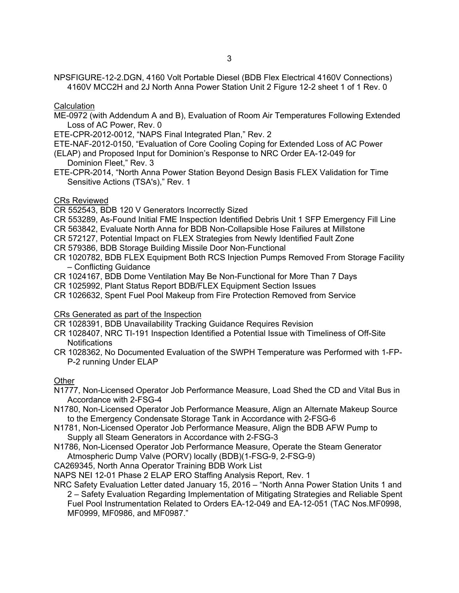NPSFIGURE-12-2.DGN, 4160 Volt Portable Diesel (BDB Flex Electrical 4160V Connections) 4160V MCC2H and 2J North Anna Power Station Unit 2 Figure 12-2 sheet 1 of 1 Rev. 0

## **Calculation**

- ME-0972 (with Addendum A and B), Evaluation of Room Air Temperatures Following Extended Loss of AC Power, Rev. 0
- ETE-CPR-2012-0012, "NAPS Final Integrated Plan," Rev. 2
- ETE-NAF-2012-0150, "Evaluation of Core Cooling Coping for Extended Loss of AC Power
- (ELAP) and Proposed Input for Dominion's Response to NRC Order EA-12-049 for Dominion Fleet," Rev. 3
- ETE-CPR-2014, "North Anna Power Station Beyond Design Basis FLEX Validation for Time Sensitive Actions (TSA's)," Rev. 1

# CRs Reviewed

- CR 552543, BDB 120 V Generators Incorrectly Sized
- CR 553289, As-Found Initial FME Inspection Identified Debris Unit 1 SFP Emergency Fill Line
- CR 563842, Evaluate North Anna for BDB Non-Collapsible Hose Failures at Millstone
- CR 572127, Potential Impact on FLEX Strategies from Newly Identified Fault Zone
- CR 579386, BDB Storage Building Missile Door Non-Functional
- CR 1020782, BDB FLEX Equipment Both RCS Injection Pumps Removed From Storage Facility – Conflicting Guidance
- CR 1024167, BDB Dome Ventilation May Be Non-Functional for More Than 7 Days
- CR 1025992, Plant Status Report BDB/FLEX Equipment Section Issues
- CR 1026632, Spent Fuel Pool Makeup from Fire Protection Removed from Service

# CRs Generated as part of the Inspection

- CR 1028391, BDB Unavailability Tracking Guidance Requires Revision
- CR 1028407, NRC TI-191 Inspection Identified a Potential Issue with Timeliness of Off-Site **Notifications**
- CR 1028362, No Documented Evaluation of the SWPH Temperature was Performed with 1-FP-P-2 running Under ELAP

# Other

- N1777, Non-Licensed Operator Job Performance Measure, Load Shed the CD and Vital Bus in Accordance with 2-FSG-4
- N1780, Non-Licensed Operator Job Performance Measure, Align an Alternate Makeup Source to the Emergency Condensate Storage Tank in Accordance with 2-FSG-6
- N1781, Non-Licensed Operator Job Performance Measure, Align the BDB AFW Pump to Supply all Steam Generators in Accordance with 2-FSG-3
- N1786, Non-Licensed Operator Job Performance Measure, Operate the Steam Generator Atmospheric Dump Valve (PORV) locally (BDB)(1-FSG-9, 2-FSG-9)
- CA269345, North Anna Operator Training BDB Work List
- NAPS NEI 12-01 Phase 2 ELAP ERO Staffing Analysis Report, Rev. 1
- NRC Safety Evaluation Letter dated January 15, 2016 "North Anna Power Station Units 1 and 2 – Safety Evaluation Regarding Implementation of Mitigating Strategies and Reliable Spent Fuel Pool Instrumentation Related to Orders EA-12-049 and EA-12-051 (TAC Nos.MF0998, MF0999, MF0986, and MF0987."